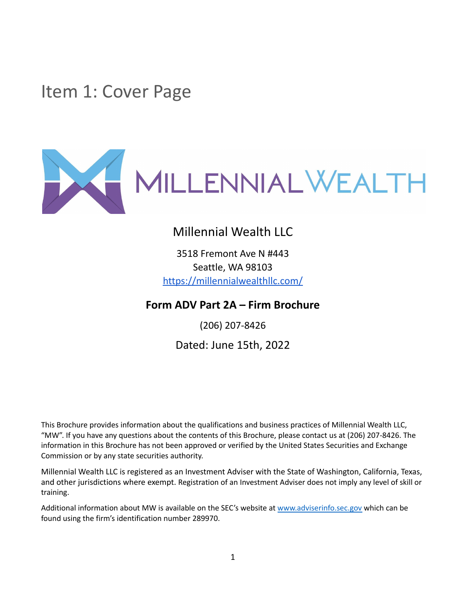<span id="page-0-0"></span>Item 1: Cover Page



### Millennial Wealth LLC

3518 Fremont Ave N #443 Seattle, WA 98103 <https://millennialwealthllc.com/>

**Form ADV Part 2A – Firm Brochure**

(206) 207-8426 Dated: June 15th, 2022

This Brochure provides information about the qualifications and business practices of Millennial Wealth LLC, "MW". If you have any questions about the contents of this Brochure, please contact us at (206) 207-8426. The information in this Brochure has not been approved or verified by the United States Securities and Exchange Commission or by any state securities authority.

Millennial Wealth LLC is registered as an Investment Adviser with the State of Washington, California, Texas, and other jurisdictions where exempt. Registration of an Investment Adviser does not imply any level of skill or training.

Additional information about MW is available on the SEC's website at [www.adviserinfo.sec.gov](http://www.adviserinfo.sec.gov) which can be found using the firm's identification number 289970.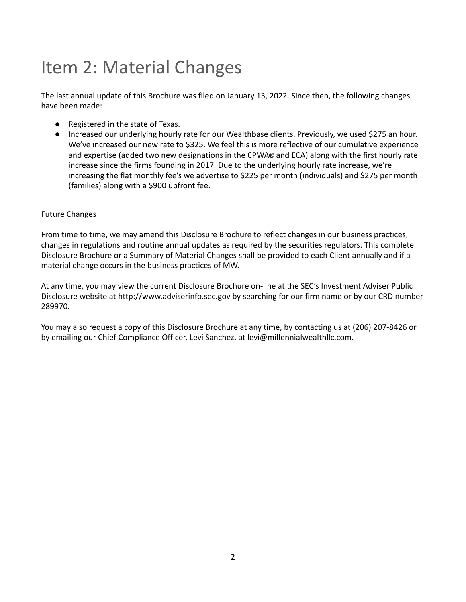# <span id="page-1-0"></span>Item 2: Material Changes

The last annual update of this Brochure was filed on January 13, 2022. Since then, the following changes have been made:

- Registered in the state of Texas.
- Increased our underlying hourly rate for our Wealthbase clients. Previously, we used \$275 an hour. We've increased our new rate to \$325. We feel this is more reflective of our cumulative experience and expertise (added two new designations in the CPWA**®** and ECA) along with the first hourly rate increase since the firms founding in 2017. Due to the underlying hourly rate increase, we're increasing the flat monthly fee's we advertise to \$225 per month (individuals) and \$275 per month (families) along with a \$900 upfront fee.

#### Future Changes

From time to time, we may amend this Disclosure Brochure to reflect changes in our business practices, changes in regulations and routine annual updates as required by the securities regulators. This complete Disclosure Brochure or a Summary of Material Changes shall be provided to each Client annually and if a material change occurs in the business practices of MW.

At any time, you may view the current Disclosure Brochure on-line at the SEC's Investment Adviser Public Disclosure website at http://www.adviserinfo.sec.gov by searching for our firm name or by our CRD number 289970.

You may also request a copy of this Disclosure Brochure at any time, by contacting us at (206) 207-8426 or by emailing our Chief Compliance Officer, Levi Sanchez, at levi@millennialwealthllc.com.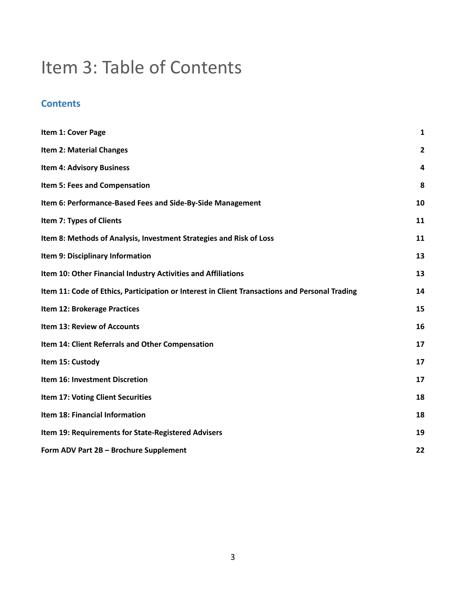# Item 3: Table of Contents

### **Contents**

| Item 1: Cover Page                                                                             | $\mathbf{1}$   |
|------------------------------------------------------------------------------------------------|----------------|
| <b>Item 2: Material Changes</b>                                                                | $\overline{2}$ |
| <b>Item 4: Advisory Business</b>                                                               | 4              |
| Item 5: Fees and Compensation                                                                  | 8              |
| Item 6: Performance-Based Fees and Side-By-Side Management                                     | 10             |
| Item 7: Types of Clients                                                                       | 11             |
| Item 8: Methods of Analysis, Investment Strategies and Risk of Loss                            | 11             |
| Item 9: Disciplinary Information                                                               | 13             |
| Item 10: Other Financial Industry Activities and Affiliations                                  | 13             |
| Item 11: Code of Ethics, Participation or Interest in Client Transactions and Personal Trading | 14             |
| Item 12: Brokerage Practices                                                                   | 15             |
| Item 13: Review of Accounts                                                                    | 16             |
| Item 14: Client Referrals and Other Compensation                                               | 17             |
| Item 15: Custody                                                                               | 17             |
| Item 16: Investment Discretion                                                                 | 17             |
| Item 17: Voting Client Securities                                                              | 18             |
| Item 18: Financial Information                                                                 | 18             |
| Item 19: Requirements for State-Registered Advisers                                            | 19             |
| Form ADV Part 2B - Brochure Supplement                                                         | 22             |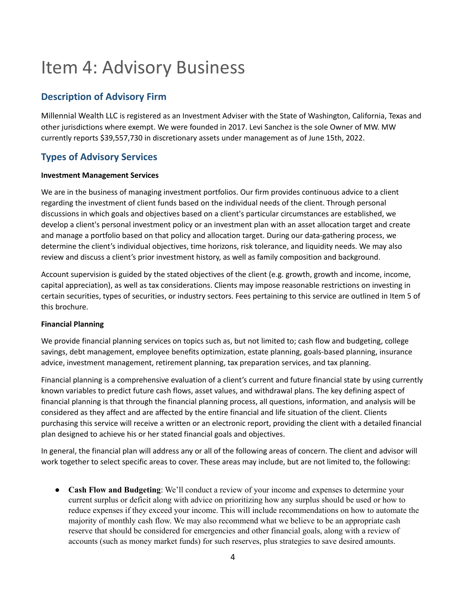# <span id="page-3-0"></span>Item 4: Advisory Business

### **Description of Advisory Firm**

Millennial Wealth LLC is registered as an Investment Adviser with the State of Washington, California, Texas and other jurisdictions where exempt. We were founded in 2017. Levi Sanchez is the sole Owner of MW. MW currently reports \$39,557,730 in discretionary assets under management as of June 15th, 2022.

### **Types of Advisory Services**

#### **Investment Management Services**

We are in the business of managing investment portfolios. Our firm provides continuous advice to a client regarding the investment of client funds based on the individual needs of the client. Through personal discussions in which goals and objectives based on a client's particular circumstances are established, we develop a client's personal investment policy or an investment plan with an asset allocation target and create and manage a portfolio based on that policy and allocation target. During our data-gathering process, we determine the client's individual objectives, time horizons, risk tolerance, and liquidity needs. We may also review and discuss a client's prior investment history, as well as family composition and background.

Account supervision is guided by the stated objectives of the client (e.g. growth, growth and income, income, capital appreciation), as well as tax considerations. Clients may impose reasonable restrictions on investing in certain securities, types of securities, or industry sectors. Fees pertaining to this service are outlined in Item 5 of this brochure.

#### **Financial Planning**

We provide financial planning services on topics such as, but not limited to; cash flow and budgeting, college savings, debt management, employee benefits optimization, estate planning, goals-based planning, insurance advice, investment management, retirement planning, tax preparation services, and tax planning.

Financial planning is a comprehensive evaluation of a client's current and future financial state by using currently known variables to predict future cash flows, asset values, and withdrawal plans. The key defining aspect of financial planning is that through the financial planning process, all questions, information, and analysis will be considered as they affect and are affected by the entire financial and life situation of the client. Clients purchasing this service will receive a written or an electronic report, providing the client with a detailed financial plan designed to achieve his or her stated financial goals and objectives.

In general, the financial plan will address any or all of the following areas of concern. The client and advisor will work together to select specific areas to cover. These areas may include, but are not limited to, the following:

● **Cash Flow and Budgeting**: We'll conduct a review of your income and expenses to determine your current surplus or deficit along with advice on prioritizing how any surplus should be used or how to reduce expenses if they exceed your income. This will include recommendations on how to automate the majority of monthly cash flow. We may also recommend what we believe to be an appropriate cash reserve that should be considered for emergencies and other financial goals, along with a review of accounts (such as money market funds) for such reserves, plus strategies to save desired amounts.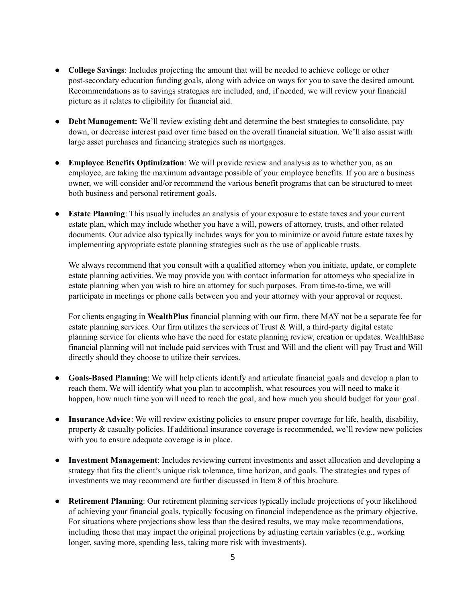- **College Savings**: Includes projecting the amount that will be needed to achieve college or other post-secondary education funding goals, along with advice on ways for you to save the desired amount. Recommendations as to savings strategies are included, and, if needed, we will review your financial picture as it relates to eligibility for financial aid.
- **Debt Management:** We'll review existing debt and determine the best strategies to consolidate, pay down, or decrease interest paid over time based on the overall financial situation. We'll also assist with large asset purchases and financing strategies such as mortgages.
- **Employee Benefits Optimization**: We will provide review and analysis as to whether you, as an employee, are taking the maximum advantage possible of your employee benefits. If you are a business owner, we will consider and/or recommend the various benefit programs that can be structured to meet both business and personal retirement goals.
- **Estate Planning:** This usually includes an analysis of your exposure to estate taxes and your current estate plan, which may include whether you have a will, powers of attorney, trusts, and other related documents. Our advice also typically includes ways for you to minimize or avoid future estate taxes by implementing appropriate estate planning strategies such as the use of applicable trusts.

We always recommend that you consult with a qualified attorney when you initiate, update, or complete estate planning activities. We may provide you with contact information for attorneys who specialize in estate planning when you wish to hire an attorney for such purposes. From time-to-time, we will participate in meetings or phone calls between you and your attorney with your approval or request.

For clients engaging in **WealthPlus** financial planning with our firm, there MAY not be a separate fee for estate planning services. Our firm utilizes the services of Trust  $\&$  Will, a third-party digital estate planning service for clients who have the need for estate planning review, creation or updates. WealthBase financial planning will not include paid services with Trust and Will and the client will pay Trust and Will directly should they choose to utilize their services.

- **Goals-Based Planning**: We will help clients identify and articulate financial goals and develop a plan to reach them. We will identify what you plan to accomplish, what resources you will need to make it happen, how much time you will need to reach the goal, and how much you should budget for your goal.
- **Insurance Advice**: We will review existing policies to ensure proper coverage for life, health, disability, property  $\&$  casualty policies. If additional insurance coverage is recommended, we'll review new policies with you to ensure adequate coverage is in place.
- **Investment Management**: Includes reviewing current investments and asset allocation and developing a strategy that fits the client's unique risk tolerance, time horizon, and goals. The strategies and types of investments we may recommend are further discussed in Item 8 of this brochure.
- **Retirement Planning**: Our retirement planning services typically include projections of your likelihood of achieving your financial goals, typically focusing on financial independence as the primary objective. For situations where projections show less than the desired results, we may make recommendations, including those that may impact the original projections by adjusting certain variables (e.g., working longer, saving more, spending less, taking more risk with investments).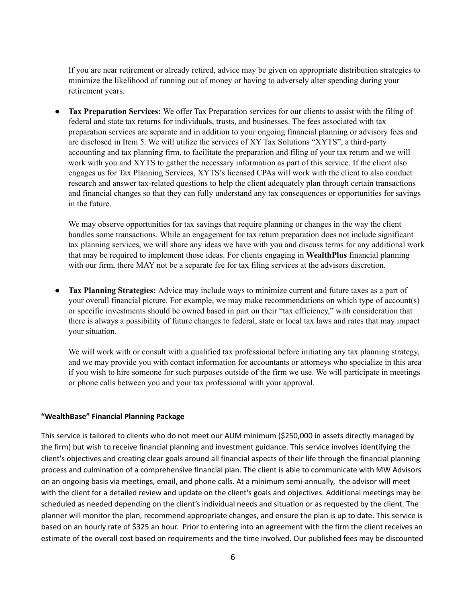If you are near retirement or already retired, advice may be given on appropriate distribution strategies to minimize the likelihood of running out of money or having to adversely alter spending during your retirement years.

**● Tax Preparation Services:** We offer Tax Preparation services for our clients to assist with the filing of federal and state tax returns for individuals, trusts, and businesses. The fees associated with tax preparation services are separate and in addition to your ongoing financial planning or advisory fees and are disclosed in Item 5. We will utilize the services of XY Tax Solutions "XYTS", a third-party accounting and tax planning firm, to facilitate the preparation and filing of your tax return and we will work with you and XYTS to gather the necessary information as part of this service. If the client also engages us for Tax Planning Services, XYTS's licensed CPAs will work with the client to also conduct research and answer tax-related questions to help the client adequately plan through certain transactions and financial changes so that they can fully understand any tax consequences or opportunities for savings in the future.

We may observe opportunities for tax savings that require planning or changes in the way the client handles some transactions. While an engagement for tax return preparation does not include significant tax planning services, we will share any ideas we have with you and discuss terms for any additional work that may be required to implement those ideas. For clients engaging in **WealthPlus** financial planning with our firm, there MAY not be a separate fee for tax filing services at the advisors discretion.

● **Tax Planning Strategies:** Advice may include ways to minimize current and future taxes as a part of your overall financial picture. For example, we may make recommendations on which type of account(s) or specific investments should be owned based in part on their "tax efficiency," with consideration that there is always a possibility of future changes to federal, state or local tax laws and rates that may impact your situation.

We will work with or consult with a qualified tax professional before initiating any tax planning strategy, and we may provide you with contact information for accountants or attorneys who specialize in this area if you wish to hire someone for such purposes outside of the firm we use. We will participate in meetings or phone calls between you and your tax professional with your approval.

#### **"WealthBase" Financial Planning Package**

This service is tailored to clients who do not meet our AUM minimum (\$250,000 in assets directly managed by the firm) but wish to receive financial planning and investment guidance. This service involves identifying the client's objectives and creating clear goals around all financial aspects of their life through the financial planning process and culmination of a comprehensive financial plan. The client is able to communicate with MW Advisors on an ongoing basis via meetings, email, and phone calls. At a minimum semi-annually, the advisor will meet with the client for a detailed review and update on the client's goals and objectives. Additional meetings may be scheduled as needed depending on the client's individual needs and situation or as requested by the client. The planner will monitor the plan, recommend appropriate changes, and ensure the plan is up to date. This service is based on an hourly rate of \$325 an hour. Prior to entering into an agreement with the firm the client receives an estimate of the overall cost based on requirements and the time involved. Our published fees may be discounted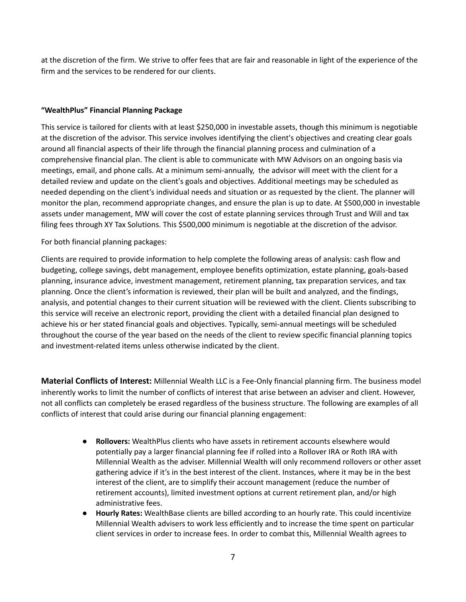at the discretion of the firm. We strive to offer fees that are fair and reasonable in light of the experience of the firm and the services to be rendered for our clients.

#### **"WealthPlus" Financial Planning Package**

This service is tailored for clients with at least \$250,000 in investable assets, though this minimum is negotiable at the discretion of the advisor. This service involves identifying the client's objectives and creating clear goals around all financial aspects of their life through the financial planning process and culmination of a comprehensive financial plan. The client is able to communicate with MW Advisors on an ongoing basis via meetings, email, and phone calls. At a minimum semi-annually, the advisor will meet with the client for a detailed review and update on the client's goals and objectives. Additional meetings may be scheduled as needed depending on the client's individual needs and situation or as requested by the client. The planner will monitor the plan, recommend appropriate changes, and ensure the plan is up to date. At \$500,000 in investable assets under management, MW will cover the cost of estate planning services through Trust and Will and tax filing fees through XY Tax Solutions. This \$500,000 minimum is negotiable at the discretion of the advisor.

For both financial planning packages:

Clients are required to provide information to help complete the following areas of analysis: cash flow and budgeting, college savings, debt management, employee benefits optimization, estate planning, goals-based planning, insurance advice, investment management, retirement planning, tax preparation services, and tax planning. Once the client's information is reviewed, their plan will be built and analyzed, and the findings, analysis, and potential changes to their current situation will be reviewed with the client. Clients subscribing to this service will receive an electronic report, providing the client with a detailed financial plan designed to achieve his or her stated financial goals and objectives. Typically, semi-annual meetings will be scheduled throughout the course of the year based on the needs of the client to review specific financial planning topics and investment-related items unless otherwise indicated by the client.

**Material Conflicts of Interest:** Millennial Wealth LLC is a Fee-Only financial planning firm. The business model inherently works to limit the number of conflicts of interest that arise between an adviser and client. However, not all conflicts can completely be erased regardless of the business structure. The following are examples of all conflicts of interest that could arise during our financial planning engagement:

- **Rollovers:** WealthPlus clients who have assets in retirement accounts elsewhere would potentially pay a larger financial planning fee if rolled into a Rollover IRA or Roth IRA with Millennial Wealth as the adviser. Millennial Wealth will only recommend rollovers or other asset gathering advice if it's in the best interest of the client. Instances, where it may be in the best interest of the client, are to simplify their account management (reduce the number of retirement accounts), limited investment options at current retirement plan, and/or high administrative fees.
- **Hourly Rates:** WealthBase clients are billed according to an hourly rate. This could incentivize Millennial Wealth advisers to work less efficiently and to increase the time spent on particular client services in order to increase fees. In order to combat this, Millennial Wealth agrees to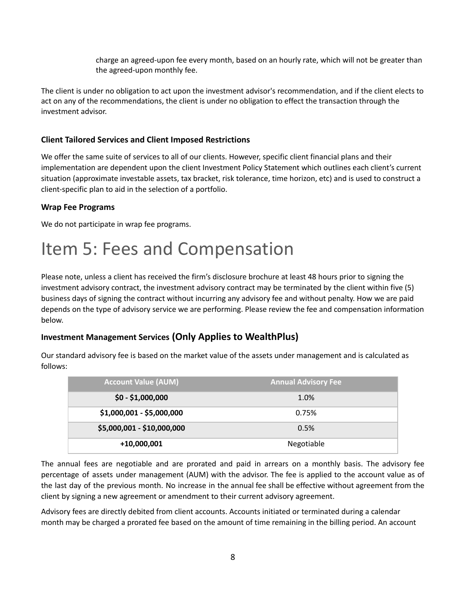charge an agreed-upon fee every month, based on an hourly rate, which will not be greater than the agreed-upon monthly fee.

The client is under no obligation to act upon the investment advisor's recommendation, and if the client elects to act on any of the recommendations, the client is under no obligation to effect the transaction through the investment advisor.

#### **Client Tailored Services and Client Imposed Restrictions**

We offer the same suite of services to all of our clients. However, specific client financial plans and their implementation are dependent upon the client Investment Policy Statement which outlines each client's current situation (approximate investable assets, tax bracket, risk tolerance, time horizon, etc) and is used to construct a client-specific plan to aid in the selection of a portfolio.

#### **Wrap Fee Programs**

We do not participate in wrap fee programs.

# <span id="page-7-0"></span>Item 5: Fees and Compensation

Please note, unless a client has received the firm's disclosure brochure at least 48 hours prior to signing the investment advisory contract, the investment advisory contract may be terminated by the client within five (5) business days of signing the contract without incurring any advisory fee and without penalty. How we are paid depends on the type of advisory service we are performing. Please review the fee and compensation information below.

### **Investment Management Services (Only Applies to WealthPlus)**

Our standard advisory fee is based on the market value of the assets under management and is calculated as follows:

| <b>Account Value (AUM)</b> | <b>Annual Advisory Fee</b> |
|----------------------------|----------------------------|
| $$0 - $1,000,000$          | 1.0%                       |
| \$1,000,001 - \$5,000,000  | 0.75%                      |
| \$5,000,001 - \$10,000,000 | 0.5%                       |
| +10,000,001                | Negotiable                 |

The annual fees are negotiable and are prorated and paid in arrears on a monthly basis. The advisory fee percentage of assets under management (AUM) with the advisor. The fee is applied to the account value as of the last day of the previous month. No increase in the annual fee shall be effective without agreement from the client by signing a new agreement or amendment to their current advisory agreement.

Advisory fees are directly debited from client accounts. Accounts initiated or terminated during a calendar month may be charged a prorated fee based on the amount of time remaining in the billing period. An account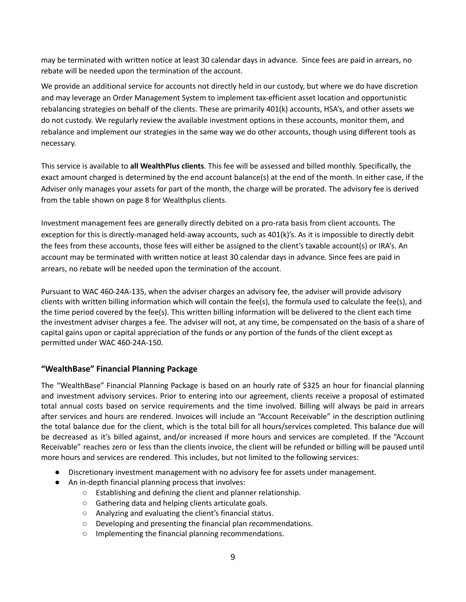may be terminated with written notice at least 30 calendar days in advance. Since fees are paid in arrears, no rebate will be needed upon the termination of the account.

We provide an additional service for accounts not directly held in our custody, but where we do have discretion and may leverage an Order Management System to implement tax-efficient asset location and opportunistic rebalancing strategies on behalf of the clients. These are primarily 401(k) accounts, HSA's, and other assets we do not custody. We regularly review the available investment options in these accounts, monitor them, and rebalance and implement our strategies in the same way we do other accounts, though using different tools as necessary.

This service is available to **all WealthPlus clients**. This fee will be assessed and billed monthly. Specifically, the exact amount charged is determined by the end account balance(s) at the end of the month. In either case, if the Adviser only manages your assets for part of the month, the charge will be prorated. The advisory fee is derived from the table shown on page 8 for Wealthplus clients.

Investment management fees are generally directly debited on a pro-rata basis from client accounts. The exception for this is directly-managed held-away accounts, such as 401(k)'s. As it is impossible to directly debit the fees from these accounts, those fees will either be assigned to the client's taxable account(s) or IRA's. An account may be terminated with written notice at least 30 calendar days in advance. Since fees are paid in arrears, no rebate will be needed upon the termination of the account.

Pursuant to WAC 460-24A-135, when the adviser charges an advisory fee, the adviser will provide advisory clients with written billing information which will contain the fee(s), the formula used to calculate the fee(s), and the time period covered by the fee(s). This written billing information will be delivered to the client each time the investment adviser charges a fee. The adviser will not, at any time, be compensated on the basis of a share of capital gains upon or capital appreciation of the funds or any portion of the funds of the client except as permitted under WAC 460-24A-150.

#### **"WealthBase" Financial Planning Package**

The "WealthBase" Financial Planning Package is based on an hourly rate of \$325 an hour for financial planning and investment advisory services. Prior to entering into our agreement, clients receive a proposal of estimated total annual costs based on service requirements and the time involved. Billing will always be paid in arrears after services and hours are rendered. Invoices will include an "Account Receivable" in the description outlining the total balance due for the client, which is the total bill for all hours/services completed. This balance due will be decreased as it's billed against, and/or increased if more hours and services are completed. If the "Account Receivable" reaches zero or less than the clients invoice, the client will be refunded or billing will be paused until more hours and services are rendered. This includes, but not limited to the following services:

- Discretionary investment management with no advisory fee for assets under management.
- An in-depth financial planning process that involves:
	- Establishing and defining the client and planner relationship.
	- Gathering data and helping clients articulate goals.
	- Analyzing and evaluating the client's financial status.
	- Developing and presenting the financial plan recommendations.
	- Implementing the financial planning recommendations.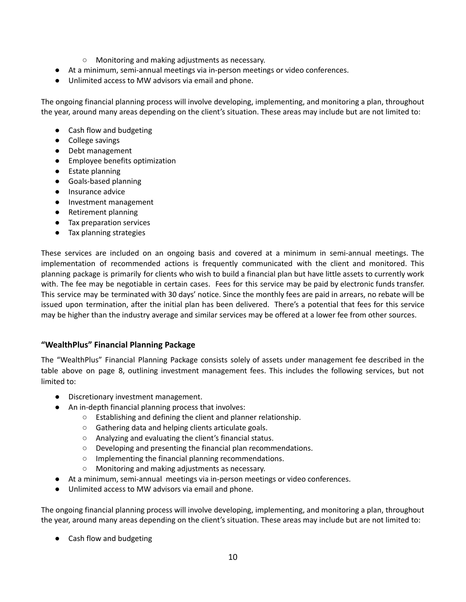- Monitoring and making adjustments as necessary.
- At a minimum, semi-annual meetings via in-person meetings or video conferences.
- Unlimited access to MW advisors via email and phone.

The ongoing financial planning process will involve developing, implementing, and monitoring a plan, throughout the year, around many areas depending on the client's situation. These areas may include but are not limited to:

- Cash flow and budgeting
- College savings
- Debt management
- Employee benefits optimization
- Estate planning
- Goals-based planning
- Insurance advice
- Investment management
- Retirement planning
- Tax preparation services
- Tax planning strategies

These services are included on an ongoing basis and covered at a minimum in semi-annual meetings. The implementation of recommended actions is frequently communicated with the client and monitored. This planning package is primarily for clients who wish to build a financial plan but have little assets to currently work with. The fee may be negotiable in certain cases. Fees for this service may be paid by electronic funds transfer. This service may be terminated with 30 days' notice. Since the monthly fees are paid in arrears, no rebate will be issued upon termination, after the initial plan has been delivered. There's a potential that fees for this service may be higher than the industry average and similar services may be offered at a lower fee from other sources.

#### **"WealthPlus" Financial Planning Package**

The "WealthPlus" Financial Planning Package consists solely of assets under management fee described in the table above on page 8, outlining investment management fees. This includes the following services, but not limited to:

- Discretionary investment management.
- An in-depth financial planning process that involves:
	- Establishing and defining the client and planner relationship.
	- Gathering data and helping clients articulate goals.
	- Analyzing and evaluating the client's financial status.
	- Developing and presenting the financial plan recommendations.
	- Implementing the financial planning recommendations.
	- Monitoring and making adjustments as necessary.
- At a minimum, semi-annual meetings via in-person meetings or video conferences.
- Unlimited access to MW advisors via email and phone.

The ongoing financial planning process will involve developing, implementing, and monitoring a plan, throughout the year, around many areas depending on the client's situation. These areas may include but are not limited to:

● Cash flow and budgeting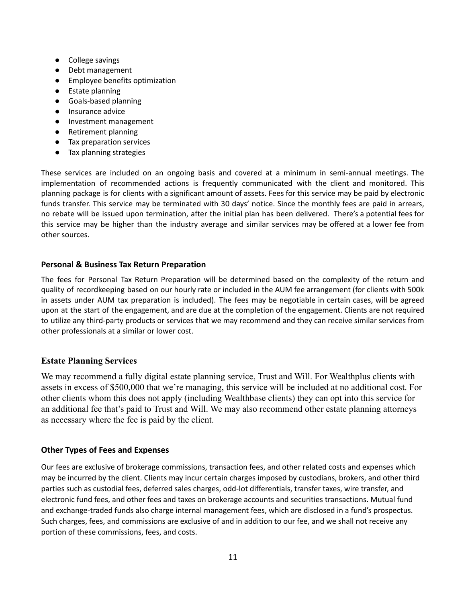- College savings
- Debt management
- Employee benefits optimization
- Estate planning
- Goals-based planning
- Insurance advice
- Investment management
- Retirement planning
- Tax preparation services
- Tax planning strategies

These services are included on an ongoing basis and covered at a minimum in semi-annual meetings. The implementation of recommended actions is frequently communicated with the client and monitored. This planning package is for clients with a significant amount of assets. Fees for this service may be paid by electronic funds transfer. This service may be terminated with 30 days' notice. Since the monthly fees are paid in arrears, no rebate will be issued upon termination, after the initial plan has been delivered. There's a potential fees for this service may be higher than the industry average and similar services may be offered at a lower fee from other sources.

#### **Personal & Business Tax Return Preparation**

The fees for Personal Tax Return Preparation will be determined based on the complexity of the return and quality of recordkeeping based on our hourly rate or included in the AUM fee arrangement (for clients with 500k in assets under AUM tax preparation is included). The fees may be negotiable in certain cases, will be agreed upon at the start of the engagement, and are due at the completion of the engagement. Clients are not required to utilize any third-party products or services that we may recommend and they can receive similar services from other professionals at a similar or lower cost.

#### **Estate Planning Services**

We may recommend a fully digital estate planning service, Trust and Will. For Wealthplus clients with assets in excess of \$500,000 that we're managing, this service will be included at no additional cost. For other clients whom this does not apply (including Wealthbase clients) they can opt into this service for an additional fee that's paid to Trust and Will. We may also recommend other estate planning attorneys as necessary where the fee is paid by the client.

#### **Other Types of Fees and Expenses**

Our fees are exclusive of brokerage commissions, transaction fees, and other related costs and expenses which may be incurred by the client. Clients may incur certain charges imposed by custodians, brokers, and other third parties such as custodial fees, deferred sales charges, odd-lot differentials, transfer taxes, wire transfer, and electronic fund fees, and other fees and taxes on brokerage accounts and securities transactions. Mutual fund and exchange-traded funds also charge internal management fees, which are disclosed in a fund's prospectus. Such charges, fees, and commissions are exclusive of and in addition to our fee, and we shall not receive any portion of these commissions, fees, and costs.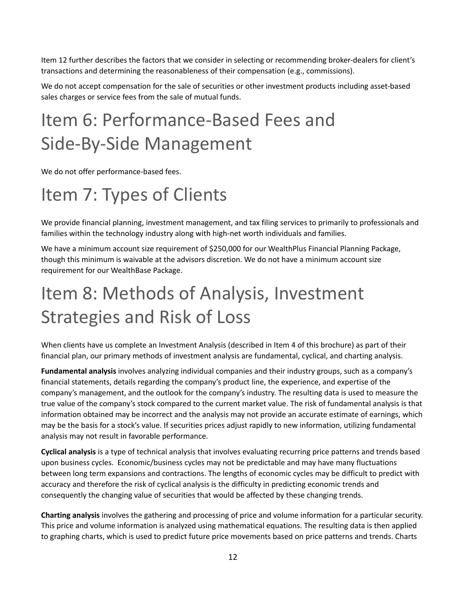Item 12 further describes the factors that we consider in selecting or recommending broker-dealers for client's transactions and determining the reasonableness of their compensation (e.g., commissions).

We do not accept compensation for the sale of securities or other investment products including asset-based sales charges or service fees from the sale of mutual funds.

# <span id="page-11-0"></span>Item 6: Performance-Based Fees and Side-By-Side Management

We do not offer performance-based fees.

# <span id="page-11-1"></span>Item 7: Types of Clients

We provide financial planning, investment management, and tax filing services to primarily to professionals and families within the technology industry along with high-net worth individuals and families.

We have a minimum account size requirement of \$250,000 for our WealthPlus Financial Planning Package, though this minimum is waivable at the advisors discretion. We do not have a minimum account size requirement for our WealthBase Package.

# <span id="page-11-2"></span>Item 8: Methods of Analysis, Investment Strategies and Risk of Loss

When clients have us complete an Investment Analysis (described in Item 4 of this brochure) as part of their financial plan, our primary methods of investment analysis are fundamental, cyclical, and charting analysis.

**Fundamental analysis** involves analyzing individual companies and their industry groups, such as a company's financial statements, details regarding the company's product line, the experience, and expertise of the company's management, and the outlook for the company's industry. The resulting data is used to measure the true value of the company's stock compared to the current market value. The risk of fundamental analysis is that information obtained may be incorrect and the analysis may not provide an accurate estimate of earnings, which may be the basis for a stock's value. If securities prices adjust rapidly to new information, utilizing fundamental analysis may not result in favorable performance.

**Cyclical analysis** is a type of technical analysis that involves evaluating recurring price patterns and trends based upon business cycles. Economic/business cycles may not be predictable and may have many fluctuations between long term expansions and contractions. The lengths of economic cycles may be difficult to predict with accuracy and therefore the risk of cyclical analysis is the difficulty in predicting economic trends and consequently the changing value of securities that would be affected by these changing trends.

**Charting analysis** involves the gathering and processing of price and volume information for a particular security. This price and volume information is analyzed using mathematical equations. The resulting data is then applied to graphing charts, which is used to predict future price movements based on price patterns and trends. Charts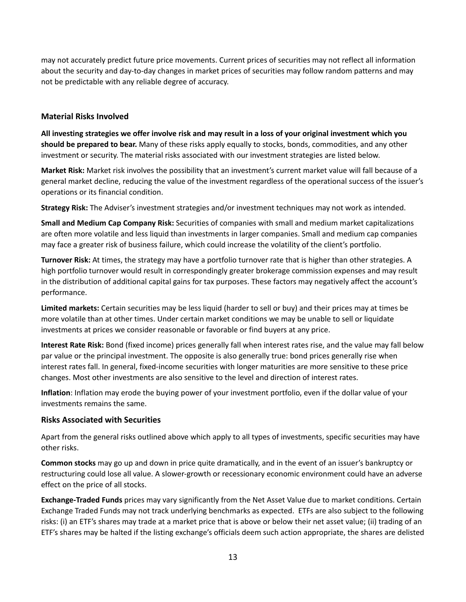may not accurately predict future price movements. Current prices of securities may not reflect all information about the security and day-to-day changes in market prices of securities may follow random patterns and may not be predictable with any reliable degree of accuracy.

#### **Material Risks Involved**

All investing strategies we offer involve risk and may result in a loss of your original investment which you **should be prepared to bear.** Many of these risks apply equally to stocks, bonds, commodities, and any other investment or security. The material risks associated with our investment strategies are listed below.

**Market Risk:** Market risk involves the possibility that an investment's current market value will fall because of a general market decline, reducing the value of the investment regardless of the operational success of the issuer's operations or its financial condition.

**Strategy Risk:** The Adviser's investment strategies and/or investment techniques may not work as intended.

**Small and Medium Cap Company Risk:** Securities of companies with small and medium market capitalizations are often more volatile and less liquid than investments in larger companies. Small and medium cap companies may face a greater risk of business failure, which could increase the volatility of the client's portfolio.

**Turnover Risk:** At times, the strategy may have a portfolio turnover rate that is higher than other strategies. A high portfolio turnover would result in correspondingly greater brokerage commission expenses and may result in the distribution of additional capital gains for tax purposes. These factors may negatively affect the account's performance.

**Limited markets:** Certain securities may be less liquid (harder to sell or buy) and their prices may at times be more volatile than at other times. Under certain market conditions we may be unable to sell or liquidate investments at prices we consider reasonable or favorable or find buyers at any price.

**Interest Rate Risk:** Bond (fixed income) prices generally fall when interest rates rise, and the value may fall below par value or the principal investment. The opposite is also generally true: bond prices generally rise when interest rates fall. In general, fixed-income securities with longer maturities are more sensitive to these price changes. Most other investments are also sensitive to the level and direction of interest rates.

**Inflation**: Inflation may erode the buying power of your investment portfolio, even if the dollar value of your investments remains the same.

#### **Risks Associated with Securities**

Apart from the general risks outlined above which apply to all types of investments, specific securities may have other risks.

**Common stocks** may go up and down in price quite dramatically, and in the event of an issuer's bankruptcy or restructuring could lose all value. A slower-growth or recessionary economic environment could have an adverse effect on the price of all stocks.

**Exchange-Traded Funds** prices may vary significantly from the Net Asset Value due to market conditions. Certain Exchange Traded Funds may not track underlying benchmarks as expected. ETFs are also subject to the following risks: (i) an ETF's shares may trade at a market price that is above or below their net asset value; (ii) trading of an ETF's shares may be halted if the listing exchange's officials deem such action appropriate, the shares are delisted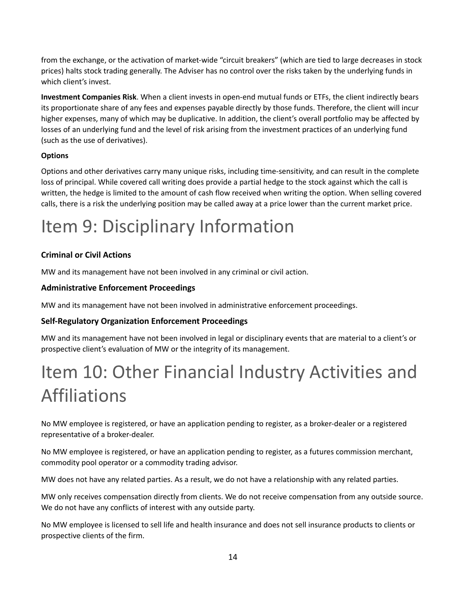from the exchange, or the activation of market-wide "circuit breakers" (which are tied to large decreases in stock prices) halts stock trading generally. The Adviser has no control over the risks taken by the underlying funds in which client's invest.

**Investment Companies Risk**. When a client invests in open-end mutual funds or ETFs, the client indirectly bears its proportionate share of any fees and expenses payable directly by those funds. Therefore, the client will incur higher expenses, many of which may be duplicative. In addition, the client's overall portfolio may be affected by losses of an underlying fund and the level of risk arising from the investment practices of an underlying fund (such as the use of derivatives).

#### **Options**

Options and other derivatives carry many unique risks, including time-sensitivity, and can result in the complete loss of principal. While covered call writing does provide a partial hedge to the stock against which the call is written, the hedge is limited to the amount of cash flow received when writing the option. When selling covered calls, there is a risk the underlying position may be called away at a price lower than the current market price.

# <span id="page-13-0"></span>Item 9: Disciplinary Information

### **Criminal or Civil Actions**

MW and its management have not been involved in any criminal or civil action.

### **Administrative Enforcement Proceedings**

MW and its management have not been involved in administrative enforcement proceedings.

### **Self-Regulatory Organization Enforcement Proceedings**

MW and its management have not been involved in legal or disciplinary events that are material to a client's or prospective client's evaluation of MW or the integrity of its management.

# <span id="page-13-1"></span>Item 10: Other Financial Industry Activities and Affiliations

No MW employee is registered, or have an application pending to register, as a broker-dealer or a registered representative of a broker-dealer.

No MW employee is registered, or have an application pending to register, as a futures commission merchant, commodity pool operator or a commodity trading advisor.

MW does not have any related parties. As a result, we do not have a relationship with any related parties.

MW only receives compensation directly from clients. We do not receive compensation from any outside source. We do not have any conflicts of interest with any outside party.

No MW employee is licensed to sell life and health insurance and does not sell insurance products to clients or prospective clients of the firm.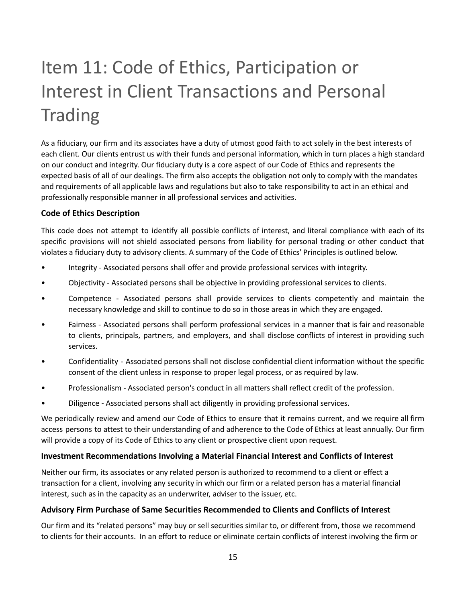# Item 11: Code of Ethics, Participation or Interest in Client Transactions and Personal **Trading**

<span id="page-14-0"></span>As a fiduciary, our firm and its associates have a duty of utmost good faith to act solely in the best interests of each client. Our clients entrust us with their funds and personal information, which in turn places a high standard on our conduct and integrity. Our fiduciary duty is a core aspect of our Code of Ethics and represents the expected basis of all of our dealings. The firm also accepts the obligation not only to comply with the mandates and requirements of all applicable laws and regulations but also to take responsibility to act in an ethical and professionally responsible manner in all professional services and activities.

#### **Code of Ethics Description**

This code does not attempt to identify all possible conflicts of interest, and literal compliance with each of its specific provisions will not shield associated persons from liability for personal trading or other conduct that violates a fiduciary duty to advisory clients. A summary of the Code of Ethics' Principles is outlined below.

- Integrity Associated persons shall offer and provide professional services with integrity.
- Objectivity Associated persons shall be objective in providing professional services to clients.
- Competence Associated persons shall provide services to clients competently and maintain the necessary knowledge and skill to continue to do so in those areas in which they are engaged.
- Fairness Associated persons shall perform professional services in a manner that is fair and reasonable to clients, principals, partners, and employers, and shall disclose conflicts of interest in providing such services.
- Confidentiality Associated persons shall not disclose confidential client information without the specific consent of the client unless in response to proper legal process, or as required by law.
- Professionalism Associated person's conduct in all matters shall reflect credit of the profession.
- Diligence Associated persons shall act diligently in providing professional services.

We periodically review and amend our Code of Ethics to ensure that it remains current, and we require all firm access persons to attest to their understanding of and adherence to the Code of Ethics at least annually. Our firm will provide a copy of its Code of Ethics to any client or prospective client upon request.

#### **Investment Recommendations Involving a Material Financial Interest and Conflicts of Interest**

Neither our firm, its associates or any related person is authorized to recommend to a client or effect a transaction for a client, involving any security in which our firm or a related person has a material financial interest, such as in the capacity as an underwriter, adviser to the issuer, etc.

#### **Advisory Firm Purchase of Same Securities Recommended to Clients and Conflicts of Interest**

Our firm and its "related persons" may buy or sell securities similar to, or different from, those we recommend to clients for their accounts. In an effort to reduce or eliminate certain conflicts of interest involving the firm or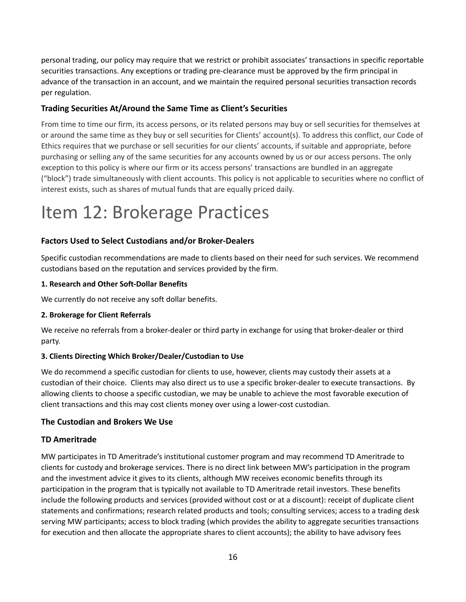personal trading, our policy may require that we restrict or prohibit associates' transactions in specific reportable securities transactions. Any exceptions or trading pre-clearance must be approved by the firm principal in advance of the transaction in an account, and we maintain the required personal securities transaction records per regulation.

#### **Trading Securities At/Around the Same Time as Client's Securities**

From time to time our firm, its access persons, or its related persons may buy or sell securities for themselves at or around the same time as they buy or sell securities for Clients' account(s). To address this conflict, our Code of Ethics requires that we purchase or sell securities for our clients' accounts, if suitable and appropriate, before purchasing or selling any of the same securities for any accounts owned by us or our access persons. The only exception to this policy is where our firm or its access persons' transactions are bundled in an aggregate ("block") trade simultaneously with client accounts. This policy is not applicable to securities where no conflict of interest exists, such as shares of mutual funds that are equally priced daily.

# <span id="page-15-0"></span>Item 12: Brokerage Practices

#### **Factors Used to Select Custodians and/or Broker-Dealers**

Specific custodian recommendations are made to clients based on their need for such services. We recommend custodians based on the reputation and services provided by the firm.

#### **1. Research and Other Soft-Dollar Benefits**

We currently do not receive any soft dollar benefits.

#### **2. Brokerage for Client Referrals**

We receive no referrals from a broker-dealer or third party in exchange for using that broker-dealer or third party.

#### **3. Clients Directing Which Broker/Dealer/Custodian to Use**

We do recommend a specific custodian for clients to use, however, clients may custody their assets at a custodian of their choice. Clients may also direct us to use a specific broker-dealer to execute transactions. By allowing clients to choose a specific custodian, we may be unable to achieve the most favorable execution of client transactions and this may cost clients money over using a lower-cost custodian.

#### **The Custodian and Brokers We Use**

#### **TD Ameritrade**

MW participates in TD Ameritrade's institutional customer program and may recommend TD Ameritrade to clients for custody and brokerage services. There is no direct link between MW's participation in the program and the investment advice it gives to its clients, although MW receives economic benefits through its participation in the program that is typically not available to TD Ameritrade retail investors. These benefits include the following products and services (provided without cost or at a discount): receipt of duplicate client statements and confirmations; research related products and tools; consulting services; access to a trading desk serving MW participants; access to block trading (which provides the ability to aggregate securities transactions for execution and then allocate the appropriate shares to client accounts); the ability to have advisory fees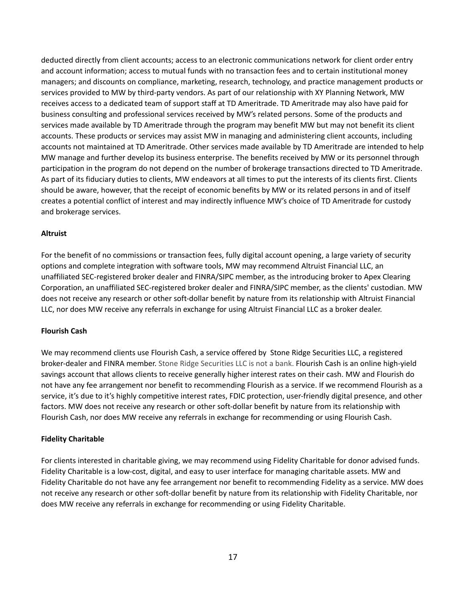deducted directly from client accounts; access to an electronic communications network for client order entry and account information; access to mutual funds with no transaction fees and to certain institutional money managers; and discounts on compliance, marketing, research, technology, and practice management products or services provided to MW by third-party vendors. As part of our relationship with XY Planning Network, MW receives access to a dedicated team of support staff at TD Ameritrade. TD Ameritrade may also have paid for business consulting and professional services received by MW's related persons. Some of the products and services made available by TD Ameritrade through the program may benefit MW but may not benefit its client accounts. These products or services may assist MW in managing and administering client accounts, including accounts not maintained at TD Ameritrade. Other services made available by TD Ameritrade are intended to help MW manage and further develop its business enterprise. The benefits received by MW or its personnel through participation in the program do not depend on the number of brokerage transactions directed to TD Ameritrade. As part of its fiduciary duties to clients, MW endeavors at all times to put the interests of its clients first. Clients should be aware, however, that the receipt of economic benefits by MW or its related persons in and of itself creates a potential conflict of interest and may indirectly influence MW's choice of TD Ameritrade for custody and brokerage services.

#### **Altruist**

For the benefit of no commissions or transaction fees, fully digital account opening, a large variety of security options and complete integration with software tools, MW may recommend Altruist Financial LLC, an unaffiliated SEC-registered broker dealer and FINRA/SIPC member, as the introducing broker to Apex Clearing Corporation, an unaffiliated SEC-registered broker dealer and FINRA/SIPC member, as the clients' custodian. MW does not receive any research or other soft-dollar benefit by nature from its relationship with Altruist Financial LLC, nor does MW receive any referrals in exchange for using Altruist Financial LLC as a broker dealer.

#### **Flourish Cash**

We may recommend clients use Flourish Cash, a service offered by Stone Ridge Securities LLC, a registered broker-dealer and FINRA member. Stone Ridge Securities LLC is not a bank. Flourish Cash is an online high-yield savings account that allows clients to receive generally higher interest rates on their cash. MW and Flourish do not have any fee arrangement nor benefit to recommending Flourish as a service. If we recommend Flourish as a service, it's due to it's highly competitive interest rates, FDIC protection, user-friendly digital presence, and other factors. MW does not receive any research or other soft-dollar benefit by nature from its relationship with Flourish Cash, nor does MW receive any referrals in exchange for recommending or using Flourish Cash.

#### **Fidelity Charitable**

For clients interested in charitable giving, we may recommend using Fidelity Charitable for donor advised funds. Fidelity Charitable is a low-cost, digital, and easy to user interface for managing charitable assets. MW and Fidelity Charitable do not have any fee arrangement nor benefit to recommending Fidelity as a service. MW does not receive any research or other soft-dollar benefit by nature from its relationship with Fidelity Charitable, nor does MW receive any referrals in exchange for recommending or using Fidelity Charitable.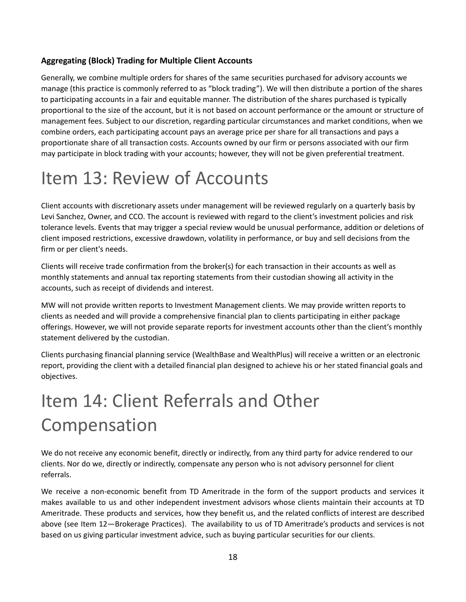#### **Aggregating (Block) Trading for Multiple Client Accounts**

Generally, we combine multiple orders for shares of the same securities purchased for advisory accounts we manage (this practice is commonly referred to as "block trading"). We will then distribute a portion of the shares to participating accounts in a fair and equitable manner. The distribution of the shares purchased is typically proportional to the size of the account, but it is not based on account performance or the amount or structure of management fees. Subject to our discretion, regarding particular circumstances and market conditions, when we combine orders, each participating account pays an average price per share for all transactions and pays a proportionate share of all transaction costs. Accounts owned by our firm or persons associated with our firm may participate in block trading with your accounts; however, they will not be given preferential treatment.

# <span id="page-17-0"></span>Item 13: Review of Accounts

Client accounts with discretionary assets under management will be reviewed regularly on a quarterly basis by Levi Sanchez, Owner, and CCO. The account is reviewed with regard to the client's investment policies and risk tolerance levels. Events that may trigger a special review would be unusual performance, addition or deletions of client imposed restrictions, excessive drawdown, volatility in performance, or buy and sell decisions from the firm or per client's needs.

Clients will receive trade confirmation from the broker(s) for each transaction in their accounts as well as monthly statements and annual tax reporting statements from their custodian showing all activity in the accounts, such as receipt of dividends and interest.

MW will not provide written reports to Investment Management clients. We may provide written reports to clients as needed and will provide a comprehensive financial plan to clients participating in either package offerings. However, we will not provide separate reports for investment accounts other than the client's monthly statement delivered by the custodian.

Clients purchasing financial planning service (WealthBase and WealthPlus) will receive a written or an electronic report, providing the client with a detailed financial plan designed to achieve his or her stated financial goals and objectives.

# <span id="page-17-1"></span>Item 14: Client Referrals and Other Compensation

We do not receive any economic benefit, directly or indirectly, from any third party for advice rendered to our clients. Nor do we, directly or indirectly, compensate any person who is not advisory personnel for client referrals.

We receive a non-economic benefit from TD Ameritrade in the form of the support products and services it makes available to us and other independent investment advisors whose clients maintain their accounts at TD Ameritrade. These products and services, how they benefit us, and the related conflicts of interest are described above (see Item 12—Brokerage Practices). The availability to us of TD Ameritrade's products and services is not based on us giving particular investment advice, such as buying particular securities for our clients.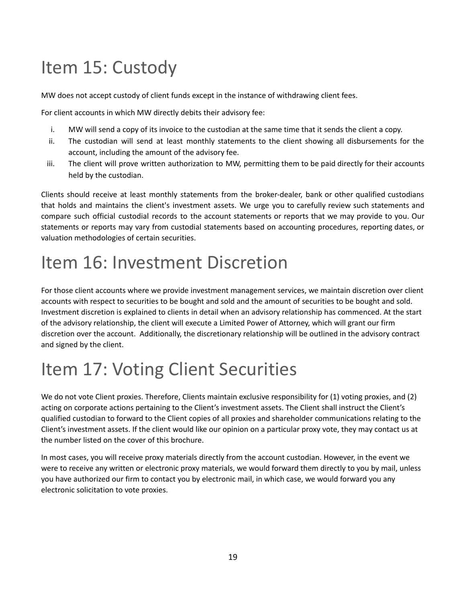# <span id="page-18-0"></span>Item 15: Custody

MW does not accept custody of client funds except in the instance of withdrawing client fees.

For client accounts in which MW directly debits their advisory fee:

- i. MW will send a copy of its invoice to the custodian at the same time that it sends the client a copy.
- ii. The custodian will send at least monthly statements to the client showing all disbursements for the account, including the amount of the advisory fee.
- iii. The client will prove written authorization to MW, permitting them to be paid directly for their accounts held by the custodian.

Clients should receive at least monthly statements from the broker-dealer, bank or other qualified custodians that holds and maintains the client's investment assets. We urge you to carefully review such statements and compare such official custodial records to the account statements or reports that we may provide to you. Our statements or reports may vary from custodial statements based on accounting procedures, reporting dates, or valuation methodologies of certain securities.

# <span id="page-18-1"></span>Item 16: Investment Discretion

For those client accounts where we provide investment management services, we maintain discretion over client accounts with respect to securities to be bought and sold and the amount of securities to be bought and sold. Investment discretion is explained to clients in detail when an advisory relationship has commenced. At the start of the advisory relationship, the client will execute a Limited Power of Attorney, which will grant our firm discretion over the account. Additionally, the discretionary relationship will be outlined in the advisory contract and signed by the client.

# <span id="page-18-2"></span>Item 17: Voting Client Securities

We do not vote Client proxies. Therefore, Clients maintain exclusive responsibility for (1) voting proxies, and (2) acting on corporate actions pertaining to the Client's investment assets. The Client shall instruct the Client's qualified custodian to forward to the Client copies of all proxies and shareholder communications relating to the Client's investment assets. If the client would like our opinion on a particular proxy vote, they may contact us at the number listed on the cover of this brochure.

In most cases, you will receive proxy materials directly from the account custodian. However, in the event we were to receive any written or electronic proxy materials, we would forward them directly to you by mail, unless you have authorized our firm to contact you by electronic mail, in which case, we would forward you any electronic solicitation to vote proxies.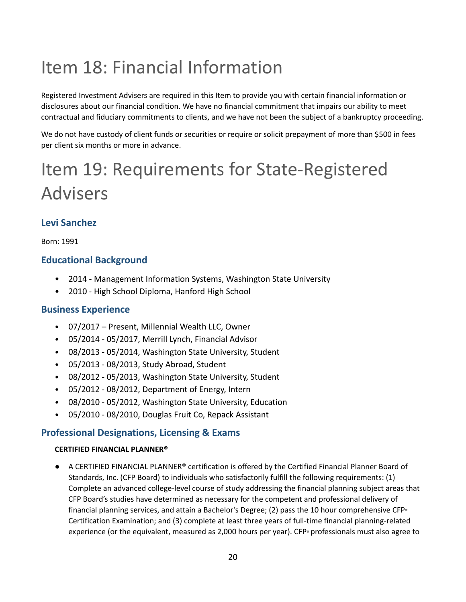# <span id="page-19-0"></span>Item 18: Financial Information

Registered Investment Advisers are required in this Item to provide you with certain financial information or disclosures about our financial condition. We have no financial commitment that impairs our ability to meet contractual and fiduciary commitments to clients, and we have not been the subject of a bankruptcy proceeding.

We do not have custody of client funds or securities or require or solicit prepayment of more than \$500 in fees per client six months or more in advance.

# <span id="page-19-1"></span>Item 19: Requirements for State-Registered Advisers

### **Levi Sanchez**

Born: 1991

### **Educational Background**

- 2014 Management Information Systems, Washington State University
- 2010 High School Diploma, Hanford High School

### **Business Experience**

- 07/2017 Present, Millennial Wealth LLC, Owner
- 05/2014 05/2017, Merrill Lynch, Financial Advisor
- 08/2013 05/2014, Washington State University, Student
- 05/2013 08/2013, Study Abroad, Student
- 08/2012 05/2013, Washington State University, Student
- 05/2012 08/2012, Department of Energy, Intern
- 08/2010 05/2012, Washington State University, Education
- 05/2010 08/2010, Douglas Fruit Co, Repack Assistant

### **Professional Designations, Licensing & Exams**

#### **CERTIFIED FINANCIAL PLANNER®**

● A CERTIFIED FINANCIAL PLANNER® certification is offered by the Certified Financial Planner Board of Standards, Inc. (CFP Board) to individuals who satisfactorily fulfill the following requirements: (1) Complete an advanced college-level course of study addressing the financial planning subject areas that CFP Board's studies have determined as necessary for the competent and professional delivery of financial planning services, and attain a Bachelor's Degree; (2) pass the 10 hour comprehensive CFP<sup>®</sup> Certification Examination; and (3) complete at least three years of full-time financial planning-related experience (or the equivalent, measured as 2,000 hours per year). CFP® professionals must also agree to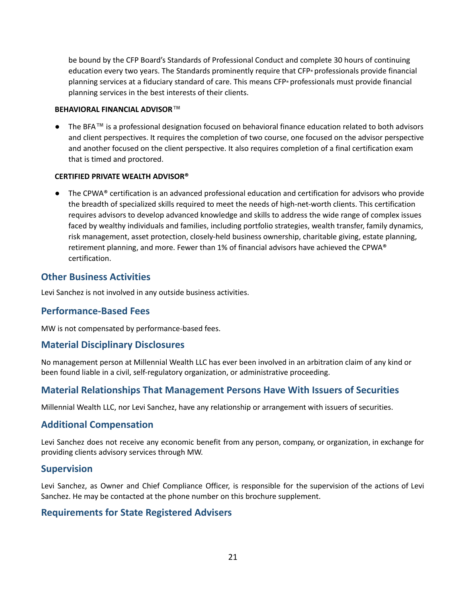be bound by the CFP Board's Standards of Professional Conduct and complete 30 hours of continuing education every two years. The Standards prominently require that CFP® professionals provide financial planning services at a fiduciary standard of care. This means CFP® professionals must provide financial planning services in the best interests of their clients.

#### **BEHAVIORAL FINANCIAL ADVISOR™**

● The BFA**™** is a professional designation focused on behavioral finance education related to both advisors and client perspectives. It requires the completion of two course, one focused on the advisor perspective and another focused on the client perspective. It also requires completion of a final certification exam that is timed and proctored.

#### **CERTIFIED PRIVATE WEALTH ADVISOR®**

● The CPWA® certification is an advanced professional education and certification for advisors who provide the breadth of specialized skills required to meet the needs of high-net-worth clients. This certification requires advisors to develop advanced knowledge and skills to address the wide range of complex issues faced by wealthy individuals and families, including portfolio strategies, wealth transfer, family dynamics, risk management, asset protection, closely-held business ownership, charitable giving, estate planning, retirement planning, and more. Fewer than 1% of financial advisors have achieved the CPWA® certification.

#### **Other Business Activities**

Levi Sanchez is not involved in any outside business activities.

#### **Performance-Based Fees**

MW is not compensated by performance-based fees.

#### **Material Disciplinary Disclosures**

No management person at Millennial Wealth LLC has ever been involved in an arbitration claim of any kind or been found liable in a civil, self-regulatory organization, or administrative proceeding.

#### **Material Relationships That Management Persons Have With Issuers of Securities**

Millennial Wealth LLC, nor Levi Sanchez, have any relationship or arrangement with issuers of securities.

#### **Additional Compensation**

Levi Sanchez does not receive any economic benefit from any person, company, or organization, in exchange for providing clients advisory services through MW.

#### **Supervision**

Levi Sanchez, as Owner and Chief Compliance Officer, is responsible for the supervision of the actions of Levi Sanchez. He may be contacted at the phone number on this brochure supplement.

#### **Requirements for State Registered Advisers**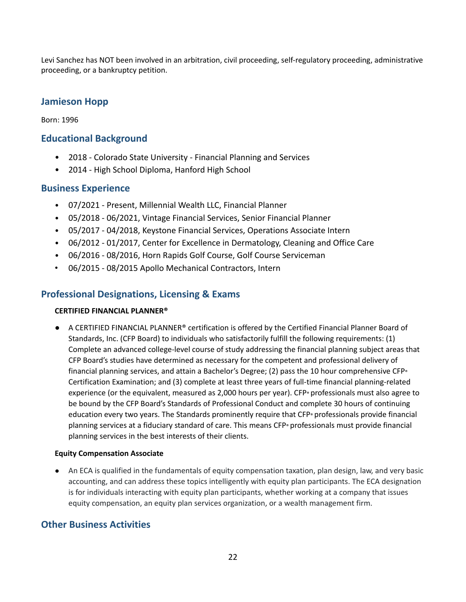Levi Sanchez has NOT been involved in an arbitration, civil proceeding, self-regulatory proceeding, administrative proceeding, or a bankruptcy petition.

### **Jamieson Hopp**

Born: 1996

#### **Educational Background**

- 2018 Colorado State University Financial Planning and Services
- 2014 High School Diploma, Hanford High School

#### **Business Experience**

- 07/2021 Present, Millennial Wealth LLC, Financial Planner
- 05/2018 06/2021, Vintage Financial Services, Senior Financial Planner
- 05/2017 04/2018, Keystone Financial Services, Operations Associate Intern
- 06/2012 01/2017, Center for Excellence in Dermatology, Cleaning and Office Care
- 06/2016 08/2016, Horn Rapids Golf Course, Golf Course Serviceman
- 06/2015 08/2015 Apollo Mechanical Contractors, Intern

### **Professional Designations, Licensing & Exams**

#### **CERTIFIED FINANCIAL PLANNER®**

● A CERTIFIED FINANCIAL PLANNER<sup>®</sup> certification is offered by the Certified Financial Planner Board of Standards, Inc. (CFP Board) to individuals who satisfactorily fulfill the following requirements: (1) Complete an advanced college-level course of study addressing the financial planning subject areas that CFP Board's studies have determined as necessary for the competent and professional delivery of financial planning services, and attain a Bachelor's Degree; (2) pass the 10 hour comprehensive CFP<sup>®</sup> Certification Examination; and (3) complete at least three years of full-time financial planning-related experience (or the equivalent, measured as 2,000 hours per year). CFP® professionals must also agree to be bound by the CFP Board's Standards of Professional Conduct and complete 30 hours of continuing education every two years. The Standards prominently require that CFP® professionals provide financial planning services at a fiduciary standard of care. This means CFP® professionals must provide financial planning services in the best interests of their clients.

#### **Equity Compensation Associate**

● An ECA is qualified in the fundamentals of equity compensation taxation, plan design, law, and very basic accounting, and can address these topics intelligently with equity plan participants. The ECA designation is for individuals interacting with equity plan participants, whether working at a company that issues equity compensation, an equity plan services organization, or a wealth management firm.

#### **Other Business Activities**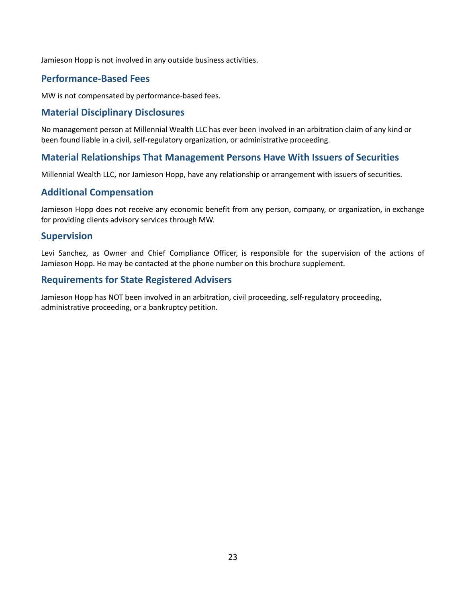Jamieson Hopp is not involved in any outside business activities.

### **Performance-Based Fees**

MW is not compensated by performance-based fees.

#### **Material Disciplinary Disclosures**

No management person at Millennial Wealth LLC has ever been involved in an arbitration claim of any kind or been found liable in a civil, self-regulatory organization, or administrative proceeding.

### **Material Relationships That Management Persons Have With Issuers of Securities**

Millennial Wealth LLC, nor Jamieson Hopp, have any relationship or arrangement with issuers of securities.

#### **Additional Compensation**

Jamieson Hopp does not receive any economic benefit from any person, company, or organization, in exchange for providing clients advisory services through MW.

#### **Supervision**

Levi Sanchez, as Owner and Chief Compliance Officer, is responsible for the supervision of the actions of Jamieson Hopp. He may be contacted at the phone number on this brochure supplement.

#### **Requirements for State Registered Advisers**

Jamieson Hopp has NOT been involved in an arbitration, civil proceeding, self-regulatory proceeding, administrative proceeding, or a bankruptcy petition.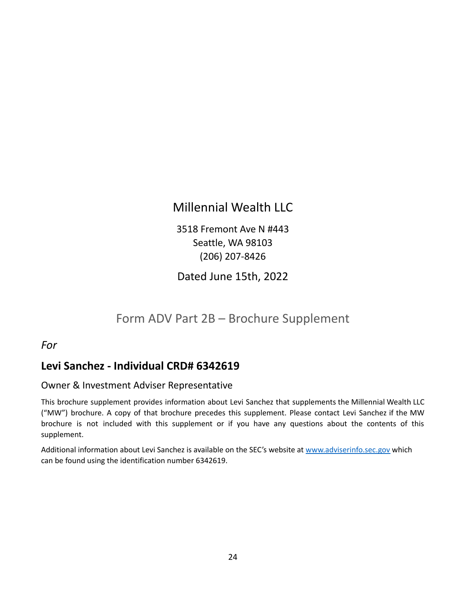## Millennial Wealth LLC

3518 Fremont Ave N #443 Seattle, WA 98103 (206) 207-8426

Dated June 15th, 2022

## Form ADV Part 2B – Brochure Supplement

*For*

### **Levi Sanchez - Individual CRD# 6342619**

### Owner & Investment Adviser Representative

This brochure supplement provides information about Levi Sanchez that supplements the Millennial Wealth LLC ("MW") brochure. A copy of that brochure precedes this supplement. Please contact Levi Sanchez if the MW brochure is not included with this supplement or if you have any questions about the contents of this supplement.

Additional information about Levi Sanchez is available on the SEC's website at [www.adviserinfo.sec.gov](http://www.adviserinfo.sec.gov) which can be found using the identification number 6342619.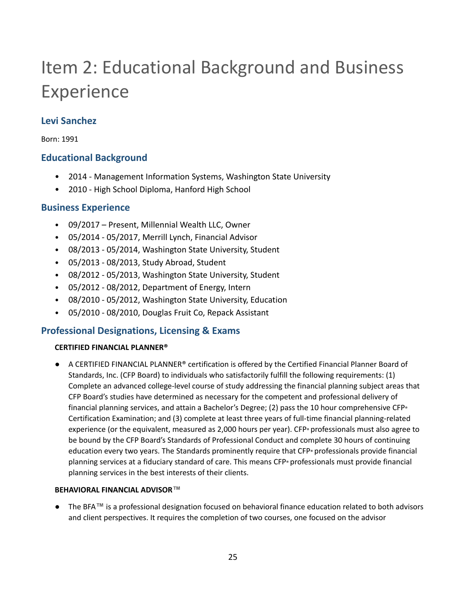# Item 2: Educational Background and Business Experience

### **Levi Sanchez**

Born: 1991

### **Educational Background**

- 2014 Management Information Systems, Washington State University
- 2010 High School Diploma, Hanford High School

### **Business Experience**

- 09/2017 Present, Millennial Wealth LLC, Owner
- 05/2014 05/2017, Merrill Lynch, Financial Advisor
- 08/2013 05/2014, Washington State University, Student
- 05/2013 08/2013, Study Abroad, Student
- 08/2012 05/2013, Washington State University, Student
- 05/2012 08/2012, Department of Energy, Intern
- 08/2010 05/2012, Washington State University, Education
- 05/2010 08/2010, Douglas Fruit Co, Repack Assistant

### **Professional Designations, Licensing & Exams**

#### **CERTIFIED FINANCIAL PLANNER®**

A CERTIFIED FINANCIAL PLANNER® certification is offered by the Certified Financial Planner Board of Standards, Inc. (CFP Board) to individuals who satisfactorily fulfill the following requirements: (1) Complete an advanced college-level course of study addressing the financial planning subject areas that CFP Board's studies have determined as necessary for the competent and professional delivery of financial planning services, and attain a Bachelor's Degree; (2) pass the 10 hour comprehensive CFP® Certification Examination; and (3) complete at least three years of full-time financial planning-related experience (or the equivalent, measured as 2,000 hours per year). CFP® professionals must also agree to be bound by the CFP Board's Standards of Professional Conduct and complete 30 hours of continuing education every two years. The Standards prominently require that CFP® professionals provide financial planning services at a fiduciary standard of care. This means CFP® professionals must provide financial planning services in the best interests of their clients.

#### **BEHAVIORAL FINANCIAL ADVISOR™**

● The BFA**™** is a professional designation focused on behavioral finance education related to both advisors and client perspectives. It requires the completion of two courses, one focused on the advisor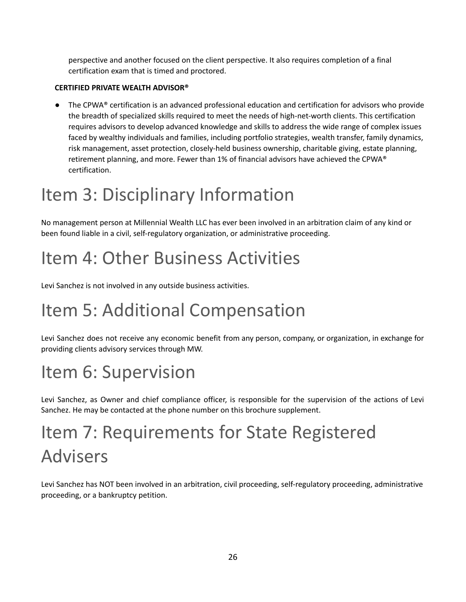perspective and another focused on the client perspective. It also requires completion of a final certification exam that is timed and proctored.

#### **CERTIFIED PRIVATE WEALTH ADVISOR®**

● The CPWA® certification is an advanced professional education and certification for advisors who provide the breadth of specialized skills required to meet the needs of high-net-worth clients. This certification requires advisors to develop advanced knowledge and skills to address the wide range of complex issues faced by wealthy individuals and families, including portfolio strategies, wealth transfer, family dynamics, risk management, asset protection, closely-held business ownership, charitable giving, estate planning, retirement planning, and more. Fewer than 1% of financial advisors have achieved the CPWA® certification.

# Item 3: Disciplinary Information

No management person at Millennial Wealth LLC has ever been involved in an arbitration claim of any kind or been found liable in a civil, self-regulatory organization, or administrative proceeding.

# Item 4: Other Business Activities

Levi Sanchez is not involved in any outside business activities.

# Item 5: Additional Compensation

Levi Sanchez does not receive any economic benefit from any person, company, or organization, in exchange for providing clients advisory services through MW.

# Item 6: Supervision

Levi Sanchez, as Owner and chief compliance officer, is responsible for the supervision of the actions of Levi Sanchez. He may be contacted at the phone number on this brochure supplement.

# Item 7: Requirements for State Registered Advisers

Levi Sanchez has NOT been involved in an arbitration, civil proceeding, self-regulatory proceeding, administrative proceeding, or a bankruptcy petition.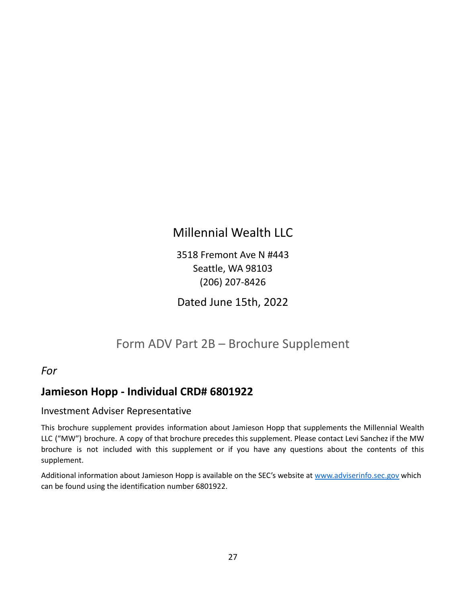## Millennial Wealth LLC

3518 Fremont Ave N #443 Seattle, WA 98103 (206) 207-8426

Dated June 15th, 2022

### Form ADV Part 2B – Brochure Supplement

### *For*

### **Jamieson Hopp - Individual CRD# 6801922**

#### Investment Adviser Representative

This brochure supplement provides information about Jamieson Hopp that supplements the Millennial Wealth LLC ("MW") brochure. A copy of that brochure precedes this supplement. Please contact Levi Sanchez if the MW brochure is not included with this supplement or if you have any questions about the contents of this supplement.

Additional information about Jamieson Hopp is available on the SEC's website at [www.adviserinfo.sec.gov](http://www.adviserinfo.sec.gov) which can be found using the identification number 6801922.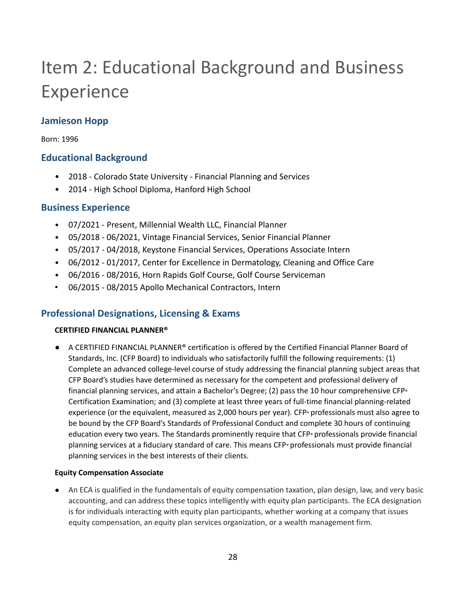# Item 2: Educational Background and Business Experience

### **Jamieson Hopp**

Born: 1996

### **Educational Background**

- 2018 Colorado State University Financial Planning and Services
- 2014 High School Diploma, Hanford High School

### **Business Experience**

- 07/2021 Present, Millennial Wealth LLC, Financial Planner
- 05/2018 06/2021, Vintage Financial Services, Senior Financial Planner
- 05/2017 04/2018, Keystone Financial Services, Operations Associate Intern
- 06/2012 01/2017, Center for Excellence in Dermatology, Cleaning and Office Care
- 06/2016 08/2016, Horn Rapids Golf Course, Golf Course Serviceman
- 06/2015 08/2015 Apollo Mechanical Contractors, Intern

### **Professional Designations, Licensing & Exams**

#### **CERTIFIED FINANCIAL PLANNER®**

A CERTIFIED FINANCIAL PLANNER® certification is offered by the Certified Financial Planner Board of Standards, Inc. (CFP Board) to individuals who satisfactorily fulfill the following requirements: (1) Complete an advanced college-level course of study addressing the financial planning subject areas that CFP Board's studies have determined as necessary for the competent and professional delivery of financial planning services, and attain a Bachelor's Degree; (2) pass the 10 hour comprehensive CFP<sup>®</sup> Certification Examination; and (3) complete at least three years of full-time financial planning-related experience (or the equivalent, measured as 2,000 hours per year). CFP® professionals must also agree to be bound by the CFP Board's Standards of Professional Conduct and complete 30 hours of continuing education every two years. The Standards prominently require that CFP® professionals provide financial planning services at a fiduciary standard of care. This means CFP® professionals must provide financial planning services in the best interests of their clients.

#### **Equity Compensation Associate**

● An ECA is qualified in the fundamentals of equity compensation taxation, plan design, law, and very basic accounting, and can address these topics intelligently with equity plan participants. The ECA designation is for individuals interacting with equity plan participants, whether working at a company that issues equity compensation, an equity plan services organization, or a wealth management firm.